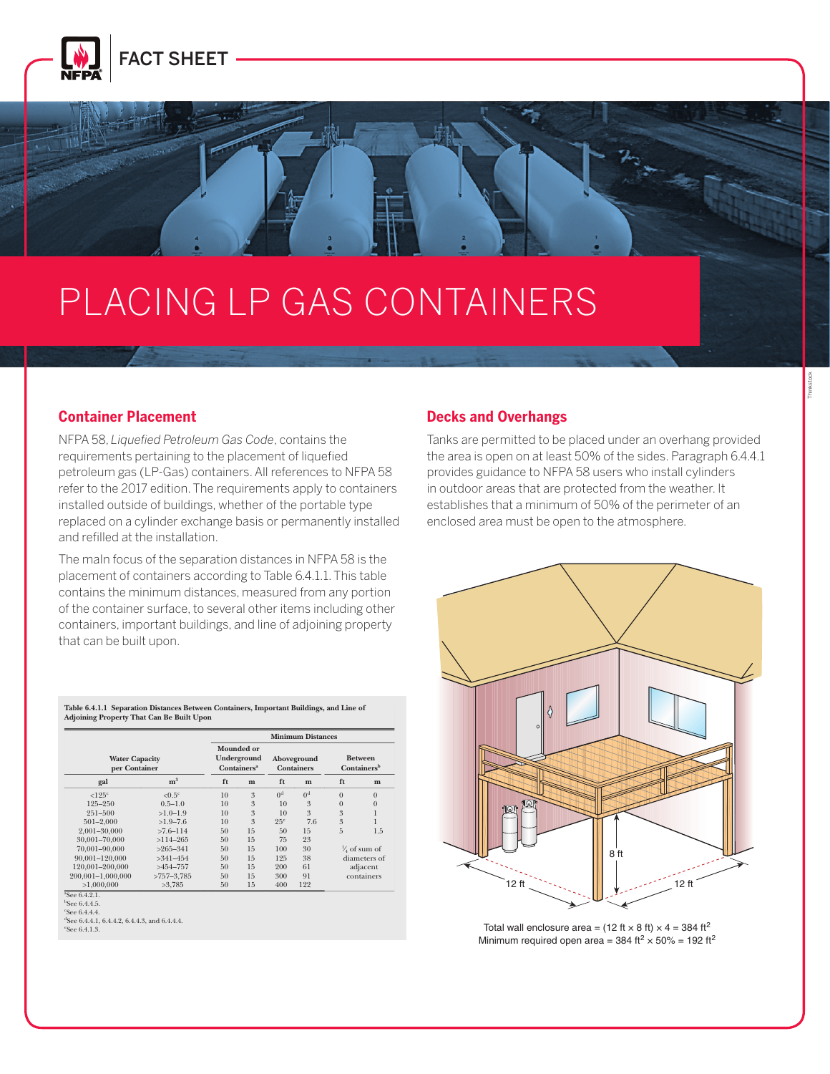

# PLACING LP GAS CONTAINERS

#### **Container Placement** permanently installed and refilled at the installation, shall be

NFPA 58, *Liquefied Petroleum Gas Code*, contains the requirements pertaining to the placement of liquefied petroleum gas (LP-Gas) containers. All references to NFPA 58 provides guidar .<br>refer to the 2017 edition. The requirements apply to containers \_\_\_\_\_\_\_\_\_\_\_\_\_\_\_\_\_ installed outside of buildings, whether of the portable type replaced on a cylinder exchange basis or permanently installed enclosed area n and refilled at the installation.

**58-34-34 LIQUEFIED PETROLEUM GAS CODE PETROLEUM GAS CODE PETROLEUM GAS CODE PETROLEUM GAS CODE PETROLEUM GAS C** 

The maln focus of the separation distand<br> placement of containers according to Table 6.4.1.1. This table than 125 gal (0.5 m3 ) water capacity. contains the minimum distances, measured from any portion of the container surface, to several other items including other **container and install no**tice containers, important buildings, and line of adjoining property that can be built upon.  $\overline{1501}$ The maIn focus of the separation distances in NFPA 58 is the **6.4.4.2** ASME containers of less than 125 gal (0.5 m3

|                                        |                      | <b>Minimum Distances</b>                                   |    |                                  |                |                                           |              |  |
|----------------------------------------|----------------------|------------------------------------------------------------|----|----------------------------------|----------------|-------------------------------------------|--------------|--|
| <b>Water Capacity</b><br>per Container |                      | Mounded or<br>Underground<br><b>Containers<sup>a</sup></b> |    | Aboveground<br><b>Containers</b> |                | <b>Between</b><br>Containers <sup>b</sup> |              |  |
| gal                                    | m <sup>3</sup>       | ft                                                         | m  | ft                               | m              | ft                                        | m            |  |
| $<125$ <sup>c</sup>                    | $< 0.5$ <sup>c</sup> | 10                                                         | 3  | 0 <sup>d</sup>                   | 0 <sup>d</sup> | $\Omega$                                  | $\Omega$     |  |
| $125 - 250$                            | $0.5 - 1.0$          | 10                                                         | 3  | 10                               | 3              | $\overline{0}$                            | $\mathbf{0}$ |  |
| $251 - 500$                            | $>1.0-1.9$           | 10                                                         | 3  | 10                               | 3              | 3                                         |              |  |
| $501 - 2000$                           | $>1.9 - 7.6$         | 10                                                         | 3  | 25 <sup>e</sup>                  | 7.6            | 3                                         |              |  |
| 2.001-30.000                           | $>7.6 - 114$         | 50                                                         | 15 | 50                               | 15             | 5                                         | 1.5          |  |
| 30.001-70.000                          | $>114-265$           | 50                                                         | 15 | 75                               | 23             |                                           |              |  |
| 70.001-90.000                          | $>265-341$           | 50                                                         | 15 | 100                              | 30             | $\frac{1}{4}$ of sum of                   |              |  |
| 90.001-120.000                         | $>341 - 454$         | 50                                                         | 15 | 125                              | 38             | diameters of                              |              |  |
| 120.001-200.000                        | $>454-757$           | 50                                                         | 15 | 200                              | 61             | adjacent                                  |              |  |
| 200.001-1.000.000                      | $>757-3.785$         | 50                                                         | 15 | 300                              | 91             | containers                                |              |  |
| >1.000,000                             | >3.785               | 50                                                         | 15 | 400                              | 122            |                                           |              |  |

**Table 6.4.1.1 Separation Distances Between Containers, Important Buildings, and Line of Adjoining Property That Can Be Built Upon**

b See 6.4.4.5.

c See 6.4.4.4.

d See 6.4.4.1, 6.4.4.2, 6.4.4.3, and 6.4.4.4. e See 6.4.1.3.

#### **6.4.3 Minimum Separation Distances for ASME Containers. 6.4.3.1** The minimum separation distances specified in Table **Decks and Overhangs**

tains the **Tanks are permitted to be placed under an** overhang provided iquefied the area is open on at least 50% of the sides. Paragraph 6.4.4.1 provides guidance to NFPA 58 users who install cylinders in outdoor areas that are protected from the weather. It portable type establishes that a minimum of 50% of the perimeter of an enclosed area must be open to the atmosphere.



Total wall enclosure area =  $(12 \text{ ft} \times 8 \text{ ft}) \times 4 = 384 \text{ ft}^2$ Minimum required open area = 384 ft<sup>2</sup>  $\times$  50% = 192 ft<sup>2</sup>

Thinkstock

a See 6.4.2.1.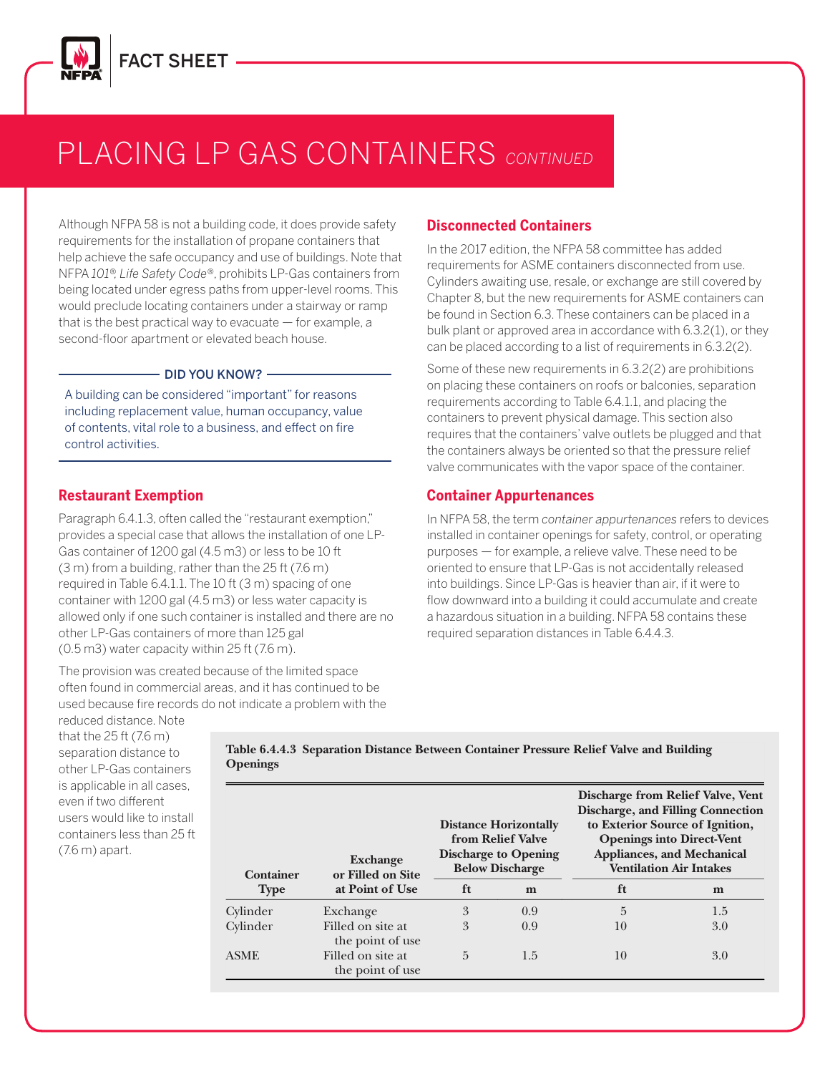

#### **PLACING LP GAS CONTAINERS** CONTINUED  $^{\prime}$  (  $\bar{A}$   $\bar{S}$  ( ) ( ) N T  $A$  TNF  $R$   $\bar{S}$  continue  $m \sim 0$  container, and the common

filling connection to exterior sources of ignition, openings into

ance with Table 6.4.4.3.

Although NFPA 58 is not a building code, it does provide safety requirements for the installation of propane containers that help achieve the safe occupancy and use of buildings. Note that the contained the state of the total of the to NFPA 101®, Life Safety Code®, prohibits LP-Gas containers from Collinders avaiting use rest being located under egress paths from upper-level rooms. This would preclude locating containers under a stairway or ramp be found<br>be found that is the best practical way to evacuate  $-$  for example, a second-floor apartment or elevated beach house.<br>Assection that the second second second and the second second second second second second second second second

### DID YOU KNOW? ————————————<sup>Son</sup>

including replacement value, human occupancy, value A building can be considered "important" for reasons of contents, vital role to a business, and effect on fire control activities.

12,000 gal (45 m3

### **Restaurant Exemption**

Paragraph 6.4.1.3, often called the "restaurant exemption," provides a special case that allows the installation of one LP-Gas container of 1200 gal (4.5 m3) or less to be 10 ft (3 m) from a building, rather than the 25 ft (7.6 m) required in Table 6.4.1.1. The 10 ft (3 m) spacing of one container with 1200 gal (4.5 m3) or less water capacity is allowed only if one such container is installed and there are no a hazardous situ other LP-Gas containers of more than 125 gal  $(0.5 \,\mathrm{m}3)$  water capacity within 25 ft  $(7.6 \,\mathrm{m})$ . accordance with the degree of fire protection provided in the protection problem in the protection problem in

The provision was created because of the limited space often found in commercial areas, and it has continued to be used because fire records do not indicate a problem with the

## **Disconnected Containers**

In the 2017 edition, the NFPA 58 committee has added use of buildings. Note that requirements for ASME containers disconnected from use. Cylinders awaiting use, resale, or exchange are still covered by  $\begin{array}{|c|c|} \hline \end{array}$ Chapter 8, but the new requirements for ASME containers can be found in Section 6.3. These containers can be placed in a be found in Section 0.5. These containers can be placed in a<br>bulk plant or approved area in accordance with 6.3.2(1), or they can be placed according to a list of requirements in  $6.3.2(2)$ . cordance with 6.3.2(1), or they less  $\begin{bmatrix} 1 & 1 \end{bmatrix}$ *N* committée nas added

Some of these new requirements in 6.3.2(2) are prohibitions on placing these containers on roofs or balconies, separation populated or congested areas, the siting provisions of 6.4.1.1 line, the number of containers in one group shall not be limi‐ Important for reasons requirements according to Table 6.4.1.1, and placing the containers to prevent physical damage. This section also **Fig. 1.1.6.2.6** requires that the containers' valve outlets be plugged and that **6.5.1.2** Aboveground multicontainer installations comprised the adjacent ends of the containers in each row shall be separa‐ the containers always be oriented so that the pressure relief and intervalve communicates with the vapor space of the container. **6.5.1.1** Where storage containers having an aggregate water •

## **Container Appurtenances**

In NFPA 58, the term *container appurtenances* refers to devices installed in container openings for safety, control, or operating. purposes — for example, a relieve valve. These need to be and 3) or less to be 10 ft can be purposes — for example, a relieve valve. These need to be an the 25 ft (7.6 m) oriented to ensure that LP-Gas is not accidentally released into buildings. Since LP-Gas is heavier than air, if it were to **find the area under containers shall be graded** flow downward into a building it could accumulate and create  $\begin{array}{|c|c|} \hline \end{array}$ a hazardous situation in a building. NFPA 58 contains these **Fig. 1** re than 125 gal **East Contains of the Container** required separation distances in Table 6.4.4.3. minimum separation distance between groups of ASME **6.5.3.3\*** Combustible materials shall not accumulate or be

**6.5.3.1** Additional container installation requirements shall

**Table 6.5.1.2 Maximum Number of Containers in a Group and**

**Maximum Number of Containers inOne Group**

6 50 15

6 25 7.6

9 25 7.6

**6.5.3.5\*** LP-Gas containers shall be located at least 10 ft (3 m) from the centerline of the wall of diked areas containing Class I

flammable or Class II combustible liquids.

reduced distance. Note that the 25 ft (7.6 m) separation distance to other LP-Gas containers is applicable in all cases, even if two different users would like to install containers less than 25 ft (7.6 m) apart.

**Table 6.4.4.3 Separation Distance Between Container Pressure Relief Valve and Building Openings**

| <b>Container</b> | <b>Exchange</b><br>or Filled on Site  | <b>Distance Horizontally</b><br>from Relief Valve<br><b>Discharge to Opening</b><br><b>Below Discharge</b> |     | Discharge from Relief Valve, Vent<br><b>Discharge, and Filling Connection</b><br>to Exterior Source of Ignition,<br><b>Openings into Direct-Vent</b><br><b>Appliances, and Mechanical</b><br><b>Ventilation Air Intakes</b> |     |  |
|------------------|---------------------------------------|------------------------------------------------------------------------------------------------------------|-----|-----------------------------------------------------------------------------------------------------------------------------------------------------------------------------------------------------------------------------|-----|--|
| <b>Type</b>      | at Point of Use                       | ft                                                                                                         | m   | ft                                                                                                                                                                                                                          | m   |  |
| Cylinder         | Exchange                              | 3                                                                                                          | 0.9 | 5                                                                                                                                                                                                                           | 1.5 |  |
| Cylinder         | Filled on site at<br>the point of use | 3                                                                                                          | 0.9 | 10                                                                                                                                                                                                                          | 3.0 |  |
| <b>ASME</b>      | Filled on site at<br>the point of use | 5                                                                                                          | 1.5 | 10                                                                                                                                                                                                                          | 3.0 |  |